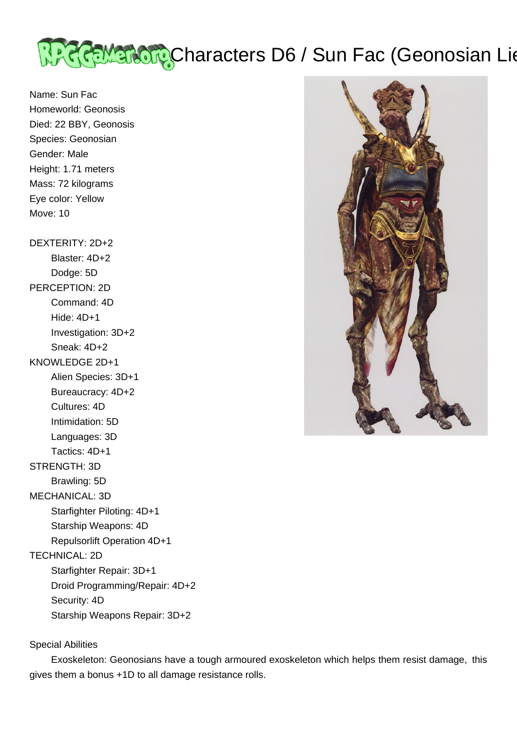

Name: Sun Fac Homeworld: Geonosis Died: 22 BBY, Geonosis Species: Geonosian Gender: Male Height: 1.71 meters Mass: 72 kilograms Eye color: Yellow Move: 10 DEXTERITY: 2D+2 Blaster: 4D+2 Dodge: 5D PERCEPTION: 2D Command: 4D Hide: 4D+1 Investigation: 3D+2 Sneak: 4D+2 KNOWLEDGE 2D+1 Alien Species: 3D+1 Bureaucracy: 4D+2 Cultures: 4D Intimidation: 5D Languages: 3D Tactics: 4D+1 STRENGTH: 3D Brawling: 5D MECHANICAL: 3D Starfighter Piloting: 4D+1 Starship Weapons: 4D Repulsorlift Operation 4D+1 TECHNICAL: 2D Starfighter Repair: 3D+1 Droid Programming/Repair: 4D+2

Security: 4D

Starship Weapons Repair: 3D+2

## Special Abilities

 Exoskeleton: Geonosians have a tough armoured exoskeleton which helps them resist damage, this gives them a bonus +1D to all damage resistance rolls.